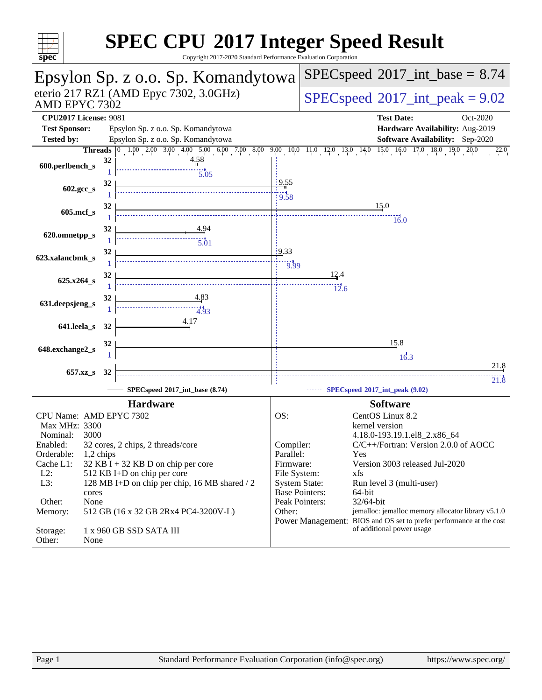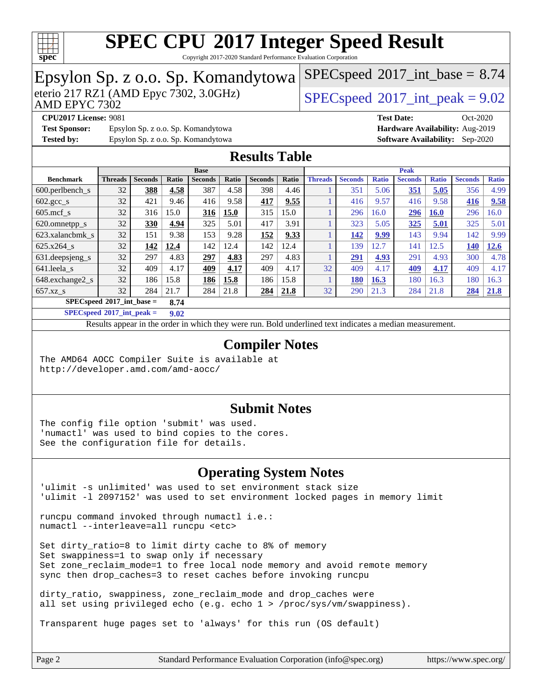

Copyright 2017-2020 Standard Performance Evaluation Corporation

#### Epsylon Sp. z o.o. Sp. Komandytowa<br>eterio 217 RZ1 (AMD Epyc 7302, 3.0GHz) AMD EPYC 7302  $SPECspeed@2017<sub>int</sub> peak = 9.02$  $SPECspeed@2017<sub>int</sub> peak = 9.02$  $SPECspeed^{\circ}2017\_int\_base = 8.74$  $SPECspeed^{\circ}2017\_int\_base = 8.74$ **[CPU2017 License:](http://www.spec.org/auto/cpu2017/Docs/result-fields.html#CPU2017License)** 9081 **[Test Date:](http://www.spec.org/auto/cpu2017/Docs/result-fields.html#TestDate)** Oct-2020 **[Test Sponsor:](http://www.spec.org/auto/cpu2017/Docs/result-fields.html#TestSponsor)** Epsylon Sp. z o.o. Sp. Komandytowa **[Hardware Availability:](http://www.spec.org/auto/cpu2017/Docs/result-fields.html#HardwareAvailability)** Aug-2019 **[Tested by:](http://www.spec.org/auto/cpu2017/Docs/result-fields.html#Testedby)** Epsylon Sp. z o.o. Sp. Komandytowa **[Software Availability:](http://www.spec.org/auto/cpu2017/Docs/result-fields.html#SoftwareAvailability)** Sep-2020 **[Results Table](http://www.spec.org/auto/cpu2017/Docs/result-fields.html#ResultsTable) [Benchmark](http://www.spec.org/auto/cpu2017/Docs/result-fields.html#Benchmark) [Threads](http://www.spec.org/auto/cpu2017/Docs/result-fields.html#Threads) [Seconds](http://www.spec.org/auto/cpu2017/Docs/result-fields.html#Seconds) [Ratio](http://www.spec.org/auto/cpu2017/Docs/result-fields.html#Ratio) [Seconds](http://www.spec.org/auto/cpu2017/Docs/result-fields.html#Seconds) [Ratio](http://www.spec.org/auto/cpu2017/Docs/result-fields.html#Ratio) [Seconds](http://www.spec.org/auto/cpu2017/Docs/result-fields.html#Seconds) [Ratio](http://www.spec.org/auto/cpu2017/Docs/result-fields.html#Ratio) Base [Threads](http://www.spec.org/auto/cpu2017/Docs/result-fields.html#Threads) [Seconds](http://www.spec.org/auto/cpu2017/Docs/result-fields.html#Seconds) [Ratio](http://www.spec.org/auto/cpu2017/Docs/result-fields.html#Ratio) [Seconds](http://www.spec.org/auto/cpu2017/Docs/result-fields.html#Seconds) [Ratio](http://www.spec.org/auto/cpu2017/Docs/result-fields.html#Ratio) [Seconds](http://www.spec.org/auto/cpu2017/Docs/result-fields.html#Seconds) [Ratio](http://www.spec.org/auto/cpu2017/Docs/result-fields.html#Ratio) Peak** [600.perlbench\\_s](http://www.spec.org/auto/cpu2017/Docs/benchmarks/600.perlbench_s.html) 32 **[388](http://www.spec.org/auto/cpu2017/Docs/result-fields.html#Median) [4.58](http://www.spec.org/auto/cpu2017/Docs/result-fields.html#Median)** 387 4.58 398 4.46 1 351 5.06 **[351](http://www.spec.org/auto/cpu2017/Docs/result-fields.html#Median) [5.05](http://www.spec.org/auto/cpu2017/Docs/result-fields.html#Median)** 356 4.99 [602.gcc\\_s](http://www.spec.org/auto/cpu2017/Docs/benchmarks/602.gcc_s.html) 32 421 9.46 416 9.58 **[417](http://www.spec.org/auto/cpu2017/Docs/result-fields.html#Median) [9.55](http://www.spec.org/auto/cpu2017/Docs/result-fields.html#Median)** 1 416 9.57 416 9.58 **[416](http://www.spec.org/auto/cpu2017/Docs/result-fields.html#Median) [9.58](http://www.spec.org/auto/cpu2017/Docs/result-fields.html#Median)** [605.mcf\\_s](http://www.spec.org/auto/cpu2017/Docs/benchmarks/605.mcf_s.html) 32 316 15.0 **[316](http://www.spec.org/auto/cpu2017/Docs/result-fields.html#Median) [15.0](http://www.spec.org/auto/cpu2017/Docs/result-fields.html#Median)** 315 15.0 1 296 16.0 **[296](http://www.spec.org/auto/cpu2017/Docs/result-fields.html#Median) [16.0](http://www.spec.org/auto/cpu2017/Docs/result-fields.html#Median)** 296 16.0 [620.omnetpp\\_s](http://www.spec.org/auto/cpu2017/Docs/benchmarks/620.omnetpp_s.html) 32 **[330](http://www.spec.org/auto/cpu2017/Docs/result-fields.html#Median) [4.94](http://www.spec.org/auto/cpu2017/Docs/result-fields.html#Median)** 325 5.01 417 3.91 1 323 5.05 **[325](http://www.spec.org/auto/cpu2017/Docs/result-fields.html#Median) [5.01](http://www.spec.org/auto/cpu2017/Docs/result-fields.html#Median)** 325 5.01 [623.xalancbmk\\_s](http://www.spec.org/auto/cpu2017/Docs/benchmarks/623.xalancbmk_s.html) 32 151 9.38 153 9.28 **[152](http://www.spec.org/auto/cpu2017/Docs/result-fields.html#Median) [9.33](http://www.spec.org/auto/cpu2017/Docs/result-fields.html#Median)** 1 **[142](http://www.spec.org/auto/cpu2017/Docs/result-fields.html#Median) [9.99](http://www.spec.org/auto/cpu2017/Docs/result-fields.html#Median)** 143 9.94 142 9.99 [625.x264\\_s](http://www.spec.org/auto/cpu2017/Docs/benchmarks/625.x264_s.html) 32 **[142](http://www.spec.org/auto/cpu2017/Docs/result-fields.html#Median) [12.4](http://www.spec.org/auto/cpu2017/Docs/result-fields.html#Median)** 142 12.4 142 12.4 1 139 12.7 141 12.5 **[140](http://www.spec.org/auto/cpu2017/Docs/result-fields.html#Median) [12.6](http://www.spec.org/auto/cpu2017/Docs/result-fields.html#Median)** [631.deepsjeng\\_s](http://www.spec.org/auto/cpu2017/Docs/benchmarks/631.deepsjeng_s.html) 32 297 4.83 **[297](http://www.spec.org/auto/cpu2017/Docs/result-fields.html#Median) [4.83](http://www.spec.org/auto/cpu2017/Docs/result-fields.html#Median)** 297 4.83 1 **[291](http://www.spec.org/auto/cpu2017/Docs/result-fields.html#Median) [4.93](http://www.spec.org/auto/cpu2017/Docs/result-fields.html#Median)** 291 4.93 300 4.78 [641.leela\\_s](http://www.spec.org/auto/cpu2017/Docs/benchmarks/641.leela_s.html) 32 409 4.17 **[409](http://www.spec.org/auto/cpu2017/Docs/result-fields.html#Median) [4.17](http://www.spec.org/auto/cpu2017/Docs/result-fields.html#Median)** 409 4.17 32 409 4.17 **[409](http://www.spec.org/auto/cpu2017/Docs/result-fields.html#Median) [4.17](http://www.spec.org/auto/cpu2017/Docs/result-fields.html#Median)** 409 4.17 [648.exchange2\\_s](http://www.spec.org/auto/cpu2017/Docs/benchmarks/648.exchange2_s.html) 32 186 15.8 **[186](http://www.spec.org/auto/cpu2017/Docs/result-fields.html#Median) [15.8](http://www.spec.org/auto/cpu2017/Docs/result-fields.html#Median)** 186 15.8 1 **[180](http://www.spec.org/auto/cpu2017/Docs/result-fields.html#Median) [16.3](http://www.spec.org/auto/cpu2017/Docs/result-fields.html#Median)** 180 16.3 180 16.3 [657.xz\\_s](http://www.spec.org/auto/cpu2017/Docs/benchmarks/657.xz_s.html) 32 284 21.7 284 21.8 **[284](http://www.spec.org/auto/cpu2017/Docs/result-fields.html#Median) [21.8](http://www.spec.org/auto/cpu2017/Docs/result-fields.html#Median)** 32 290 21.3 284 21.8 **[284](http://www.spec.org/auto/cpu2017/Docs/result-fields.html#Median) [21.8](http://www.spec.org/auto/cpu2017/Docs/result-fields.html#Median) [SPECspeed](http://www.spec.org/auto/cpu2017/Docs/result-fields.html#SPECspeed2017intbase)[2017\\_int\\_base =](http://www.spec.org/auto/cpu2017/Docs/result-fields.html#SPECspeed2017intbase) 8.74 [SPECspeed](http://www.spec.org/auto/cpu2017/Docs/result-fields.html#SPECspeed2017intpeak)[2017\\_int\\_peak =](http://www.spec.org/auto/cpu2017/Docs/result-fields.html#SPECspeed2017intpeak) 9.02** Results appear in the [order in which they were run.](http://www.spec.org/auto/cpu2017/Docs/result-fields.html#RunOrder) Bold underlined text [indicates a median measurement](http://www.spec.org/auto/cpu2017/Docs/result-fields.html#Median). **[Compiler Notes](http://www.spec.org/auto/cpu2017/Docs/result-fields.html#CompilerNotes)** The AMD64 AOCC Compiler Suite is available at <http://developer.amd.com/amd-aocc/> **[Submit Notes](http://www.spec.org/auto/cpu2017/Docs/result-fields.html#SubmitNotes)** The config file option 'submit' was used. 'numactl' was used to bind copies to the cores. See the configuration file for details. **[Operating System Notes](http://www.spec.org/auto/cpu2017/Docs/result-fields.html#OperatingSystemNotes)** 'ulimit -s unlimited' was used to set environment stack size 'ulimit -l 2097152' was used to set environment locked pages in memory limit runcpu command invoked through numactl i.e.: numactl --interleave=all runcpu <etc> Set dirty\_ratio=8 to limit dirty cache to 8% of memory Set swappiness=1 to swap only if necessary Set zone\_reclaim\_mode=1 to free local node memory and avoid remote memory sync then drop\_caches=3 to reset caches before invoking runcpu

dirty ratio, swappiness, zone reclaim mode and drop caches were all set using privileged echo (e.g. echo 1 > /proc/sys/vm/swappiness).

Transparent huge pages set to 'always' for this run (OS default)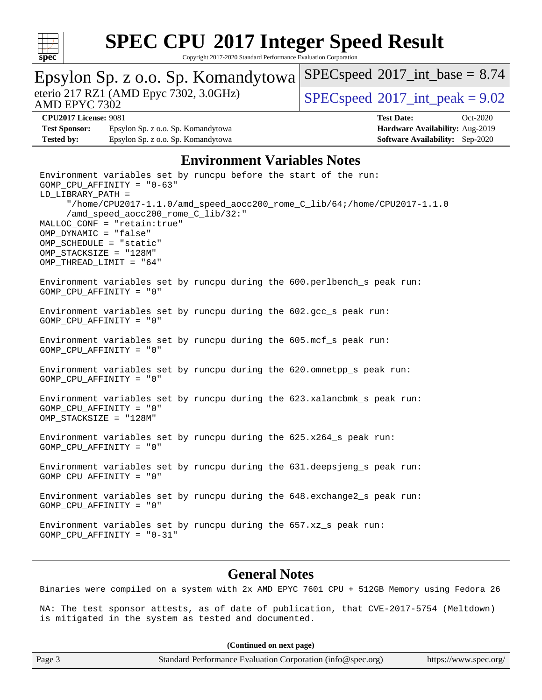

Copyright 2017-2020 Standard Performance Evaluation Corporation

| Epsylon Sp. z o.o. Sp. Komandytowa                                                                                                                                                                                                                                                                                                                                              | $SPEC speed^{\circ}2017\_int\_base = 8.74$        |  |
|---------------------------------------------------------------------------------------------------------------------------------------------------------------------------------------------------------------------------------------------------------------------------------------------------------------------------------------------------------------------------------|---------------------------------------------------|--|
| eterio 217 RZ1 (AMD Epyc 7302, 3.0GHz)<br>AMD EPYC 7302                                                                                                                                                                                                                                                                                                                         | $SPEC speed$ <sup>®</sup> $2017$ _int_peak = 9.02 |  |
| <b>CPU2017 License: 9081</b>                                                                                                                                                                                                                                                                                                                                                    | <b>Test Date:</b><br>Oct-2020                     |  |
| <b>Test Sponsor:</b><br>Epsylon Sp. z o.o. Sp. Komandytowa                                                                                                                                                                                                                                                                                                                      | Hardware Availability: Aug-2019                   |  |
| <b>Tested by:</b><br>Epsylon Sp. z o.o. Sp. Komandytowa                                                                                                                                                                                                                                                                                                                         | <b>Software Availability:</b> Sep-2020            |  |
| <b>Environment Variables Notes</b>                                                                                                                                                                                                                                                                                                                                              |                                                   |  |
| Environment variables set by runcpu before the start of the run:<br>$GOMP_CPU_AFFINITY = "0-63"$<br>LD_LIBRARY_PATH =<br>"/home/CPU2017-1.1.0/amd_speed_aocc200_rome_C_lib/64;/home/CPU2017-1.1.0<br>/amd_speed_aocc200_rome_C_lib/32:"<br>MALLOC_CONF = "retain:true"<br>OMP_DYNAMIC = "false"<br>OMP_SCHEDULE = "static"<br>OMP STACKSIZE = "128M"<br>OMP_THREAD_LIMIT = "64" |                                                   |  |
| Environment variables set by runcpu during the 600.perlbench_s peak run:<br>GOMP CPU AFFINITY = "0"                                                                                                                                                                                                                                                                             |                                                   |  |
| Environment variables set by runcpu during the 602.gcc_s peak run:<br>GOMP_CPU_AFFINITY = "0"                                                                                                                                                                                                                                                                                   |                                                   |  |
| Environment variables set by runcpu during the 605.mcf_s peak run:<br>GOMP_CPU_AFFINITY = "0"                                                                                                                                                                                                                                                                                   |                                                   |  |
| Environment variables set by runcpu during the 620.omnetpp_s peak run:<br>GOMP_CPU_AFFINITY = "0"                                                                                                                                                                                                                                                                               |                                                   |  |
| Environment variables set by runcpu during the 623.xalancbmk_s peak run:<br>GOMP_CPU_AFFINITY = "0"<br>OMP STACKSIZE = "128M"                                                                                                                                                                                                                                                   |                                                   |  |
| Environment variables set by runcpu during the 625.x264_s peak run:<br>GOMP CPU AFFINITY = "0"                                                                                                                                                                                                                                                                                  |                                                   |  |
| Environment variables set by runcpu during the 631.deepsjeng_s peak run:<br>GOMP_CPU_AFFINITY = "0"                                                                                                                                                                                                                                                                             |                                                   |  |
| Environment variables set by runcpu during the 648. exchange2_s peak run:<br>GOMP CPU AFFINITY = "0"                                                                                                                                                                                                                                                                            |                                                   |  |
| Environment variables set by runcpu during the 657.xz_s peak run:<br>$GOMP_CPU_AFFINITY = "0-31"$                                                                                                                                                                                                                                                                               |                                                   |  |
|                                                                                                                                                                                                                                                                                                                                                                                 |                                                   |  |

#### **[General Notes](http://www.spec.org/auto/cpu2017/Docs/result-fields.html#GeneralNotes)**

Binaries were compiled on a system with 2x AMD EPYC 7601 CPU + 512GB Memory using Fedora 26

NA: The test sponsor attests, as of date of publication, that CVE-2017-5754 (Meltdown) is mitigated in the system as tested and documented.

**(Continued on next page)**

Page 3 Standard Performance Evaluation Corporation [\(info@spec.org\)](mailto:info@spec.org) <https://www.spec.org/>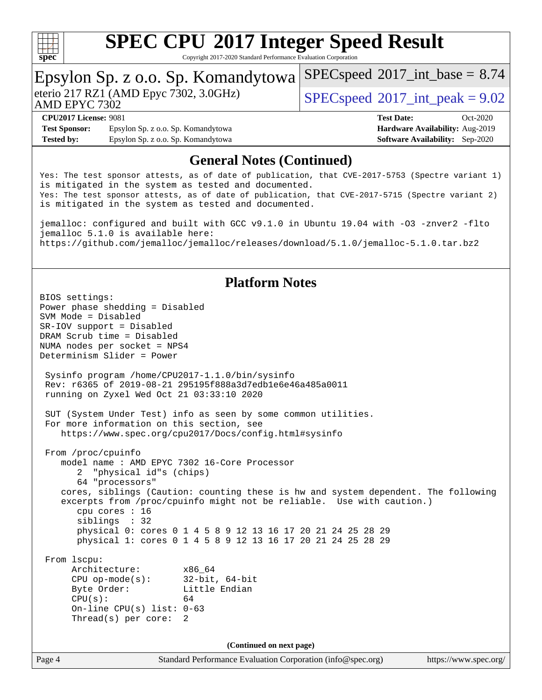

Copyright 2017-2020 Standard Performance Evaluation Corporation

# Epsylon Sp. z o.o. Sp. Komandytowa<br>eterio 217 RZ1 (AMD Epyc 7302, 3.0GHz)

 $SPECspeed@2017<sub>int</sub> peak = 9.02$  $SPECspeed@2017<sub>int</sub> peak = 9.02$ 

 $SPECspeed^{\circ}2017\_int\_base = 8.74$  $SPECspeed^{\circ}2017\_int\_base = 8.74$ 

### AMD EPYC 7302

**[Test Sponsor:](http://www.spec.org/auto/cpu2017/Docs/result-fields.html#TestSponsor)** Epsylon Sp. z o.o. Sp. Komandytowa **[Hardware Availability:](http://www.spec.org/auto/cpu2017/Docs/result-fields.html#HardwareAvailability)** Aug-2019 **[Tested by:](http://www.spec.org/auto/cpu2017/Docs/result-fields.html#Testedby)** Epsylon Sp. z o.o. Sp. Komandytowa **[Software Availability:](http://www.spec.org/auto/cpu2017/Docs/result-fields.html#SoftwareAvailability)** Sep-2020

**[CPU2017 License:](http://www.spec.org/auto/cpu2017/Docs/result-fields.html#CPU2017License)** 9081 **[Test Date:](http://www.spec.org/auto/cpu2017/Docs/result-fields.html#TestDate)** Oct-2020

### **[General Notes \(Continued\)](http://www.spec.org/auto/cpu2017/Docs/result-fields.html#GeneralNotes)**

Yes: The test sponsor attests, as of date of publication, that CVE-2017-5753 (Spectre variant 1) is mitigated in the system as tested and documented. Yes: The test sponsor attests, as of date of publication, that CVE-2017-5715 (Spectre variant 2) is mitigated in the system as tested and documented.

jemalloc: configured and built with GCC v9.1.0 in Ubuntu 19.04 with -O3 -znver2 -flto jemalloc 5.1.0 is available here: <https://github.com/jemalloc/jemalloc/releases/download/5.1.0/jemalloc-5.1.0.tar.bz2>

### **[Platform Notes](http://www.spec.org/auto/cpu2017/Docs/result-fields.html#PlatformNotes)**

Page 4 Standard Performance Evaluation Corporation [\(info@spec.org\)](mailto:info@spec.org) <https://www.spec.org/> BIOS settings: Power phase shedding = Disabled SVM Mode = Disabled SR-IOV support = Disabled DRAM Scrub time = Disabled NUMA nodes per socket = NPS4 Determinism Slider = Power Sysinfo program /home/CPU2017-1.1.0/bin/sysinfo Rev: r6365 of 2019-08-21 295195f888a3d7edb1e6e46a485a0011 running on Zyxel Wed Oct 21 03:33:10 2020 SUT (System Under Test) info as seen by some common utilities. For more information on this section, see <https://www.spec.org/cpu2017/Docs/config.html#sysinfo> From /proc/cpuinfo model name : AMD EPYC 7302 16-Core Processor 2 "physical id"s (chips) 64 "processors" cores, siblings (Caution: counting these is hw and system dependent. The following excerpts from /proc/cpuinfo might not be reliable. Use with caution.) cpu cores : 16 siblings : 32 physical 0: cores 0 1 4 5 8 9 12 13 16 17 20 21 24 25 28 29 physical 1: cores 0 1 4 5 8 9 12 13 16 17 20 21 24 25 28 29 From lscpu: Architecture: x86\_64 CPU op-mode(s): 32-bit, 64-bit Byte Order: Little Endian  $CPU(s):$  64 On-line CPU(s) list: 0-63 Thread(s) per core: 2 **(Continued on next page)**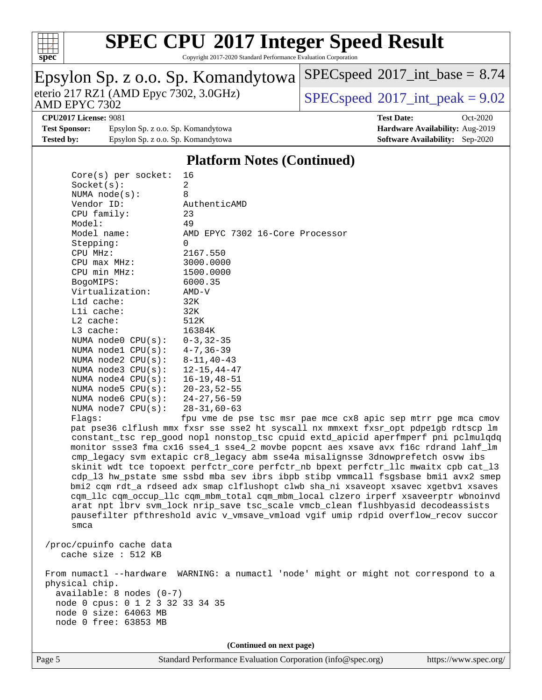

Copyright 2017-2020 Standard Performance Evaluation Corporation

#### Epsylon Sp. z o.o. Sp. Komandytowa<br>eterio 217 RZ1 (AMD Epyc 7302, 3.0GHz) AMD EPYC 7302  $SPECspeed@2017<sub>int</sub> peak = 9.02$  $SPECspeed@2017<sub>int</sub> peak = 9.02$  $SPECspeed^{\circ}2017\_int\_base = 8.74$  $SPECspeed^{\circ}2017\_int\_base = 8.74$ **[CPU2017 License:](http://www.spec.org/auto/cpu2017/Docs/result-fields.html#CPU2017License)** 9081 **[Test Date:](http://www.spec.org/auto/cpu2017/Docs/result-fields.html#TestDate)** Oct-2020 **[Test Sponsor:](http://www.spec.org/auto/cpu2017/Docs/result-fields.html#TestSponsor)** Epsylon Sp. z o.o. Sp. Komandytowa **[Hardware Availability:](http://www.spec.org/auto/cpu2017/Docs/result-fields.html#HardwareAvailability)** Aug-2019 **[Tested by:](http://www.spec.org/auto/cpu2017/Docs/result-fields.html#Testedby)** Epsylon Sp. z o.o. Sp. Komandytowa **[Software Availability:](http://www.spec.org/auto/cpu2017/Docs/result-fields.html#SoftwareAvailability)** Sep-2020 **[Platform Notes \(Continued\)](http://www.spec.org/auto/cpu2017/Docs/result-fields.html#PlatformNotes)** Core(s) per socket: 16 Socket(s): 2 NUMA node(s): 8 Vendor ID: AuthenticAMD CPU family: 23 Model: 49 Model name: AMD EPYC 7302 16-Core Processor Stepping: 0 CPU MHz: 2167.550 CPU max MHz: 3000.0000 CPU min MHz: 1500.0000 BogoMIPS: 6000.35 Virtualization: AMD-V L1d cache: 32K L1i cache: 32K L2 cache: 512K L3 cache: 16384K NUMA node0 CPU(s): 0-3,32-35 NUMA node1 CPU(s): 4-7,36-39 NUMA node2 CPU(s): 8-11,40-43 NUMA node3 CPU(s): 12-15,44-47 NUMA node4 CPU(s): 16-19,48-51 NUMA node5 CPU(s): 20-23,52-55 NUMA node6 CPU(s): 24-27,56-59 NUMA node7 CPU(s): 28-31,60-63 Flags: fpu vme de pse tsc msr pae mce cx8 apic sep mtrr pge mca cmov pat pse36 clflush mmx fxsr sse sse2 ht syscall nx mmxext fxsr\_opt pdpe1gb rdtscp lm constant\_tsc rep\_good nopl nonstop\_tsc cpuid extd\_apicid aperfmperf pni pclmulqdq monitor ssse3 fma cx16 sse4\_1 sse4\_2 movbe popcnt aes xsave avx f16c rdrand lahf\_lm cmp\_legacy svm extapic cr8\_legacy abm sse4a misalignsse 3dnowprefetch osvw ibs skinit wdt tce topoext perfctr\_core perfctr\_nb bpext perfctr\_llc mwaitx cpb cat\_l3 cdp\_l3 hw\_pstate sme ssbd mba sev ibrs ibpb stibp vmmcall fsgsbase bmi1 avx2 smep bmi2 cqm rdt\_a rdseed adx smap clflushopt clwb sha\_ni xsaveopt xsavec xgetbv1 xsaves cqm\_llc cqm\_occup\_llc cqm\_mbm\_total cqm\_mbm\_local clzero irperf xsaveerptr wbnoinvd arat npt lbrv svm\_lock nrip\_save tsc\_scale vmcb\_clean flushbyasid decodeassists pausefilter pfthreshold avic v\_vmsave\_vmload vgif umip rdpid overflow\_recov succor smca /proc/cpuinfo cache data cache size : 512 KB From numactl --hardware WARNING: a numactl 'node' might or might not correspond to a physical chip. available: 8 nodes (0-7) node 0 cpus: 0 1 2 3 32 33 34 35 node 0 size: 64063 MB node 0 free: 63853 MB **(Continued on next page)**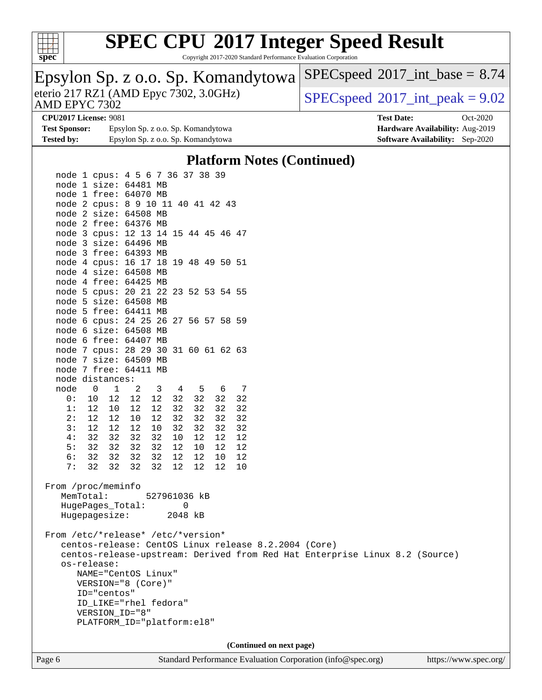

Copyright 2017-2020 Standard Performance Evaluation Corporation

| Epsylon Sp. z o.o. Sp. Komandytowa<br>eterio 217 RZ1 (AMD Epyc 7302, 3.0GHz)<br>AMD EPYC 7302 | $SPEC speed^{\circ}2017\_int\_base = 8.74$ |  |  |
|-----------------------------------------------------------------------------------------------|--------------------------------------------|--|--|
|                                                                                               | $SPEC speed^{\circ}2017$ int peak = 9.02   |  |  |
| <b>CPU2017 License: 9081</b>                                                                  | <b>Test Date:</b><br>$Oct-2020$            |  |  |
| <b>Test Sponsor:</b><br>Epsylon Sp. z o.o. Sp. Komandytowa                                    | Hardware Availability: Aug-2019            |  |  |
| <b>Tested by:</b><br>Epsylon Sp. z o.o. Sp. Komandytowa                                       | <b>Software Availability:</b> Sep-2020     |  |  |
| <b>Platform Notes (Continued)</b>                                                             |                                            |  |  |
| node 1 cpus: 4 5 6 7 36 37 38 39                                                              |                                            |  |  |
| node 1 size: 64481 MB                                                                         |                                            |  |  |
| node 1 free: 64070 MB                                                                         |                                            |  |  |
| node 2 cpus: 8 9 10 11 40 41 42 43                                                            |                                            |  |  |
| node 2 size: 64508 MB                                                                         |                                            |  |  |
| node 2 free: 64376 MB                                                                         |                                            |  |  |
| node 3 cpus: 12 13 14 15 44 45 46 47                                                          |                                            |  |  |

 4: 32 32 32 32 10 12 12 12 5: 32 32 32 32 12 10 12 12 6: 32 32 32 32 12 12 10 12 7: 32 32 32 32 12 12 12 10 From /proc/meminfo MemTotal: 527961036 kB HugePages\_Total: 0 Hugepagesize: 2048 kB

 node 3 size: 64496 MB node 3 free: 64393 MB

 node 4 size: 64508 MB node 4 free: 64425 MB

 node 5 size: 64508 MB node 5 free: 64411 MB

 node 6 size: 64508 MB node 6 free: 64407 MB

 node 7 size: 64509 MB node 7 free: 64411 MB

node distances:

node 4 cpus: 16 17 18 19 48 49 50 51

node 5 cpus: 20 21 22 23 52 53 54 55

node 6 cpus: 24 25 26 27 56 57 58 59

node 7 cpus: 28 29 30 31 60 61 62 63

 node 0 1 2 3 4 5 6 7 0: 10 12 12 12 32 32 32 32 1: 12 10 12 12 32 32 32 32 2: 12 12 10 12 32 32 32 32 3: 12 12 12 10 32 32 32 32

 From /etc/\*release\* /etc/\*version\* centos-release: CentOS Linux release 8.2.2004 (Core) centos-release-upstream: Derived from Red Hat Enterprise Linux 8.2 (Source) os-release: NAME="CentOS Linux" VERSION="8 (Core)" ID="centos" ID\_LIKE="rhel fedora" VERSION\_ID="8" PLATFORM\_ID="platform:el8"

**(Continued on next page)**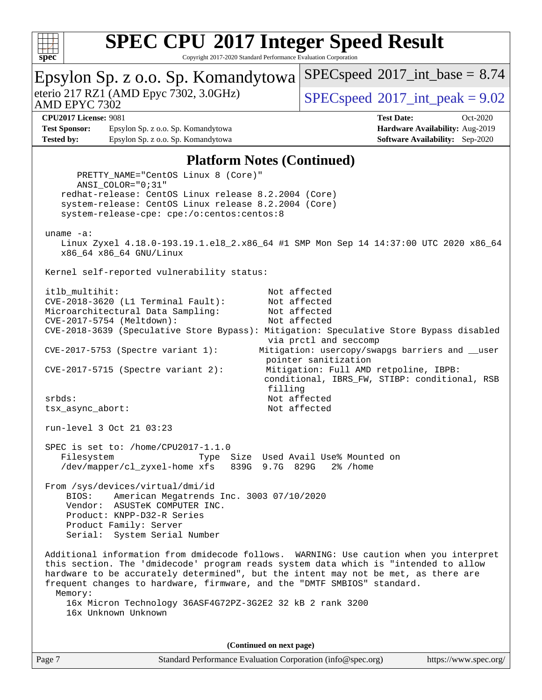

Copyright 2017-2020 Standard Performance Evaluation Corporation

| Epsylon Sp. z o.o. Sp. Komandytowa                                                                                                                                                                                                                                                                                                                                                                                                            | $SPEC speed^{\circ}2017\_int\_base = 8.74$                                                                                |  |
|-----------------------------------------------------------------------------------------------------------------------------------------------------------------------------------------------------------------------------------------------------------------------------------------------------------------------------------------------------------------------------------------------------------------------------------------------|---------------------------------------------------------------------------------------------------------------------------|--|
| eterio 217 RZ1 (AMD Epyc 7302, 3.0GHz)<br><b>AMD EPYC 7302</b>                                                                                                                                                                                                                                                                                                                                                                                | $SPEC speed^{\circ}2017\_int\_peak = 9.02$                                                                                |  |
| <b>CPU2017 License: 9081</b>                                                                                                                                                                                                                                                                                                                                                                                                                  | <b>Test Date:</b><br>Oct-2020                                                                                             |  |
| Epsylon Sp. z o.o. Sp. Komandytowa<br><b>Test Sponsor:</b><br><b>Tested by:</b><br>Epsylon Sp. z o.o. Sp. Komandytowa                                                                                                                                                                                                                                                                                                                         | Hardware Availability: Aug-2019<br><b>Software Availability:</b> Sep-2020                                                 |  |
|                                                                                                                                                                                                                                                                                                                                                                                                                                               |                                                                                                                           |  |
| <b>Platform Notes (Continued)</b>                                                                                                                                                                                                                                                                                                                                                                                                             |                                                                                                                           |  |
| PRETTY_NAME="CentOS Linux 8 (Core)"<br>ANSI_COLOR="0;31"<br>redhat-release: CentOS Linux release 8.2.2004 (Core)<br>system-release: CentOS Linux release 8.2.2004 (Core)<br>system-release-cpe: cpe:/o:centos:centos:8                                                                                                                                                                                                                        |                                                                                                                           |  |
| uname $-a$ :<br>Linux Zyxel 4.18.0-193.19.1.el8_2.x86_64 #1 SMP Mon Sep 14 14:37:00 UTC 2020 x86_64<br>x86_64 x86_64 GNU/Linux                                                                                                                                                                                                                                                                                                                |                                                                                                                           |  |
| Kernel self-reported vulnerability status:                                                                                                                                                                                                                                                                                                                                                                                                    |                                                                                                                           |  |
| Not affected<br>itlb multihit:<br>CVE-2018-3620 (L1 Terminal Fault):<br>Not affected<br>Microarchitectural Data Sampling:<br>Not affected<br>CVE-2017-5754 (Meltdown):<br>Not affected<br>CVE-2018-3639 (Speculative Store Bypass): Mitigation: Speculative Store Bypass disabled<br>via prctl and seccomp<br>Mitigation: usercopy/swapgs barriers and __user<br>$CVE-2017-5753$ (Spectre variant 1):                                         |                                                                                                                           |  |
| CVE-2017-5715 (Spectre variant 2):                                                                                                                                                                                                                                                                                                                                                                                                            | pointer sanitization<br>Mitigation: Full AMD retpoline, IBPB:<br>conditional, IBRS_FW, STIBP: conditional, RSB<br>filling |  |
| srbds:<br>tsx_async_abort:                                                                                                                                                                                                                                                                                                                                                                                                                    | Not affected<br>Not affected                                                                                              |  |
| run-level 3 Oct 21 03:23                                                                                                                                                                                                                                                                                                                                                                                                                      |                                                                                                                           |  |
| SPEC is set to: /home/CPU2017-1.1.0<br>Type Size Used Avail Use% Mounted on<br>Filesystem<br>/dev/mapper/cl_zyxel-home xfs<br>839G 9.7G 829G<br>2% / home                                                                                                                                                                                                                                                                                     |                                                                                                                           |  |
| From /sys/devices/virtual/dmi/id<br>American Megatrends Inc. 3003 07/10/2020<br>BIOS:<br>Vendor: ASUSTeK COMPUTER INC.<br>Product: KNPP-D32-R Series<br>Product Family: Server<br>Serial: System Serial Number                                                                                                                                                                                                                                |                                                                                                                           |  |
| Additional information from dmidecode follows. WARNING: Use caution when you interpret<br>this section. The 'dmidecode' program reads system data which is "intended to allow<br>hardware to be accurately determined", but the intent may not be met, as there are<br>frequent changes to hardware, firmware, and the "DMTF SMBIOS" standard.<br>Memory:<br>16x Micron Technology 36ASF4G72PZ-3G2E2 32 kB 2 rank 3200<br>16x Unknown Unknown |                                                                                                                           |  |
| (Continued on next page)                                                                                                                                                                                                                                                                                                                                                                                                                      |                                                                                                                           |  |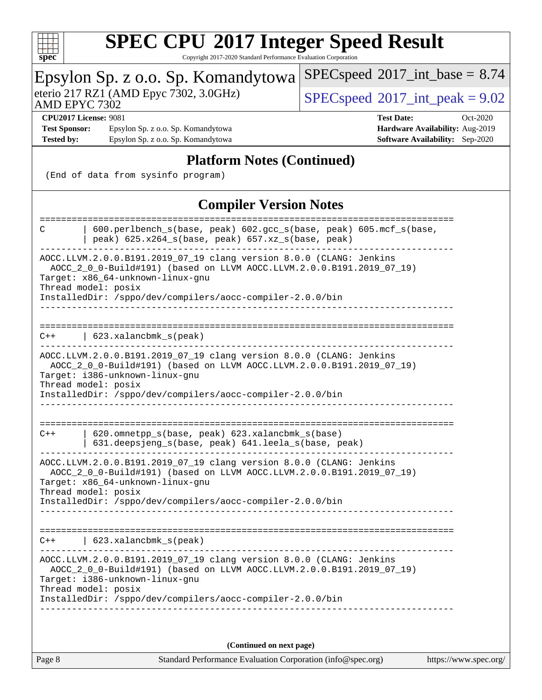

Copyright 2017-2020 Standard Performance Evaluation Corporation

#### Epsylon Sp. z o.o. Sp. Komandytowa AMD EPYC 7302 eterio 217 RZ1 (AMD Epyc 7302, 3.0GHz)  $\text{SPEC speed} \textcircled{}2017\text{ int peak} = 9.02$  $SPECspeed^{\circ}2017\_int\_base = 8.74$  $SPECspeed^{\circ}2017\_int\_base = 8.74$ **[CPU2017 License:](http://www.spec.org/auto/cpu2017/Docs/result-fields.html#CPU2017License)** 9081 **[Test Date:](http://www.spec.org/auto/cpu2017/Docs/result-fields.html#TestDate)** Oct-2020 **[Test Sponsor:](http://www.spec.org/auto/cpu2017/Docs/result-fields.html#TestSponsor)** Epsylon Sp. z o.o. Sp. Komandytowa **[Hardware Availability:](http://www.spec.org/auto/cpu2017/Docs/result-fields.html#HardwareAvailability)** Aug-2019 **[Tested by:](http://www.spec.org/auto/cpu2017/Docs/result-fields.html#Testedby)** Epsylon Sp. z o.o. Sp. Komandytowa **[Software Availability:](http://www.spec.org/auto/cpu2017/Docs/result-fields.html#SoftwareAvailability)** Sep-2020 **[Platform Notes \(Continued\)](http://www.spec.org/auto/cpu2017/Docs/result-fields.html#PlatformNotes)** (End of data from sysinfo program) **[Compiler Version Notes](http://www.spec.org/auto/cpu2017/Docs/result-fields.html#CompilerVersionNotes)** ============================================================================== C | 600.perlbench\_s(base, peak) 602.gcc\_s(base, peak) 605.mcf\_s(base, | peak) 625.x264\_s(base, peak) 657.xz\_s(base, peak) ------------------------------------------------------------------------------ AOCC.LLVM.2.0.0.B191.2019\_07\_19 clang version 8.0.0 (CLANG: Jenkins AOCC\_2\_0\_0-Build#191) (based on LLVM AOCC.LLVM.2.0.0.B191.2019\_07\_19) Target: x86\_64-unknown-linux-gnu Thread model: posix InstalledDir: /sppo/dev/compilers/aocc-compiler-2.0.0/bin ------------------------------------------------------------------------------ ============================================================================== C++ | 623.xalancbmk\_s(peak) ------------------------------------------------------------------------------ AOCC.LLVM.2.0.0.B191.2019\_07\_19 clang version 8.0.0 (CLANG: Jenkins AOCC\_2\_0\_0-Build#191) (based on LLVM AOCC.LLVM.2.0.0.B191.2019\_07\_19) Target: i386-unknown-linux-gnu Thread model: posix InstalledDir: /sppo/dev/compilers/aocc-compiler-2.0.0/bin ------------------------------------------------------------------------------ ============================================================================== C++ | 620.omnetpp\_s(base, peak) 623.xalancbmk\_s(base) | 631.deepsjeng\_s(base, peak) 641.leela\_s(base, peak) ------------------------------------------------------------------------------ AOCC.LLVM.2.0.0.B191.2019\_07\_19 clang version 8.0.0 (CLANG: Jenkins AOCC\_2\_0\_0-Build#191) (based on LLVM AOCC.LLVM.2.0.0.B191.2019\_07\_19) Target: x86\_64-unknown-linux-gnu Thread model: posix InstalledDir: /sppo/dev/compilers/aocc-compiler-2.0.0/bin ------------------------------------------------------------------------------ ============================================================================== C++ | 623.xalancbmk\_s(peak) ------------------------------------------------------------------------------ AOCC.LLVM.2.0.0.B191.2019\_07\_19 clang version 8.0.0 (CLANG: Jenkins AOCC\_2\_0\_0-Build#191) (based on LLVM AOCC.LLVM.2.0.0.B191.2019\_07\_19) Target: i386-unknown-linux-gnu Thread model: posix InstalledDir: /sppo/dev/compilers/aocc-compiler-2.0.0/bin ------------------------------------------------------------------------------ **(Continued on next page)**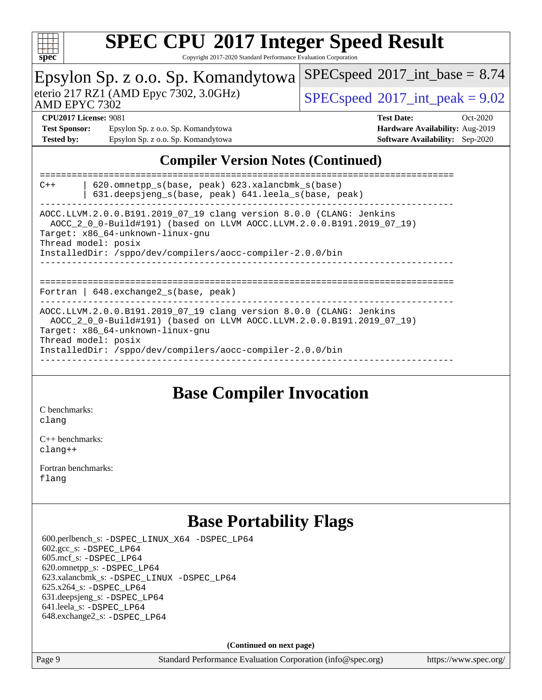

Copyright 2017-2020 Standard Performance Evaluation Corporation

| ppec                                                                                                                                                                                                                                                                 |  |                                            |  |
|----------------------------------------------------------------------------------------------------------------------------------------------------------------------------------------------------------------------------------------------------------------------|--|--------------------------------------------|--|
| Epsylon Sp. z o.o. Sp. Komandytowa                                                                                                                                                                                                                                   |  | $SPEC speed^{\circ}2017\_int\_base = 8.74$ |  |
| eterio 217 RZ1 (AMD Epyc 7302, 3.0GHz)<br>AMD EPYC 7302                                                                                                                                                                                                              |  | $SPEC speed^{\circ}2017$ int peak = 9.02   |  |
| <b>CPU2017 License: 9081</b>                                                                                                                                                                                                                                         |  | <b>Test Date:</b><br>Oct-2020              |  |
| <b>Test Sponsor:</b><br>Epsylon Sp. z o.o. Sp. Komandytowa                                                                                                                                                                                                           |  | Hardware Availability: Aug-2019            |  |
| <b>Tested by:</b><br>Epsylon Sp. z o.o. Sp. Komandytowa                                                                                                                                                                                                              |  | <b>Software Availability:</b> Sep-2020     |  |
| <b>Compiler Version Notes (Continued)</b><br>620.omnetpp_s(base, peak) 623.xalancbmk_s(base)<br>$C++$<br>631.deepsjeng_s(base, peak) 641.leela_s(base, peak)                                                                                                         |  |                                            |  |
| AOCC.LLVM.2.0.0.B191.2019_07_19 clang version 8.0.0 (CLANG: Jenkins<br>AOCC_2_0_0-Build#191) (based on LLVM AOCC.LLVM.2.0.0.B191.2019_07_19)<br>Target: x86_64-unknown-linux-gnu<br>Thread model: posix<br>InstalledDir: /sppo/dev/compilers/aocc-compiler-2.0.0/bin |  |                                            |  |
| Fortran   648. exchange 2_s (base, peak)<br>$\frac{1}{2}$                                                                                                                                                                                                            |  |                                            |  |

AOCC.LLVM.2.0.0.B191.2019\_07\_19 clang version 8.0.0 (CLANG: Jenkins AOCC\_2\_0\_0-Build#191) (based on LLVM AOCC.LLVM.2.0.0.B191.2019\_07\_19) Target: x86\_64-unknown-linux-gnu Thread model: posix InstalledDir: /sppo/dev/compilers/aocc-compiler-2.0.0/bin

#### ------------------------------------------------------------------------------

### **[Base Compiler Invocation](http://www.spec.org/auto/cpu2017/Docs/result-fields.html#BaseCompilerInvocation)**

[C benchmarks](http://www.spec.org/auto/cpu2017/Docs/result-fields.html#Cbenchmarks): [clang](http://www.spec.org/cpu2017/results/res2020q4/cpu2017-20201026-24259.flags.html#user_CCbase_clang-c)

[C++ benchmarks:](http://www.spec.org/auto/cpu2017/Docs/result-fields.html#CXXbenchmarks) [clang++](http://www.spec.org/cpu2017/results/res2020q4/cpu2017-20201026-24259.flags.html#user_CXXbase_clang-cpp)

[Fortran benchmarks](http://www.spec.org/auto/cpu2017/Docs/result-fields.html#Fortranbenchmarks): [flang](http://www.spec.org/cpu2017/results/res2020q4/cpu2017-20201026-24259.flags.html#user_FCbase_flang)

### **[Base Portability Flags](http://www.spec.org/auto/cpu2017/Docs/result-fields.html#BasePortabilityFlags)**

 600.perlbench\_s: [-DSPEC\\_LINUX\\_X64](http://www.spec.org/cpu2017/results/res2020q4/cpu2017-20201026-24259.flags.html#b600.perlbench_s_basePORTABILITY_DSPEC_LINUX_X64) [-DSPEC\\_LP64](http://www.spec.org/cpu2017/results/res2020q4/cpu2017-20201026-24259.flags.html#b600.perlbench_s_baseEXTRA_PORTABILITY_DSPEC_LP64) 602.gcc\_s: [-DSPEC\\_LP64](http://www.spec.org/cpu2017/results/res2020q4/cpu2017-20201026-24259.flags.html#suite_baseEXTRA_PORTABILITY602_gcc_s_DSPEC_LP64) 605.mcf\_s: [-DSPEC\\_LP64](http://www.spec.org/cpu2017/results/res2020q4/cpu2017-20201026-24259.flags.html#suite_baseEXTRA_PORTABILITY605_mcf_s_DSPEC_LP64) 620.omnetpp\_s: [-DSPEC\\_LP64](http://www.spec.org/cpu2017/results/res2020q4/cpu2017-20201026-24259.flags.html#suite_baseEXTRA_PORTABILITY620_omnetpp_s_DSPEC_LP64) 623.xalancbmk\_s: [-DSPEC\\_LINUX](http://www.spec.org/cpu2017/results/res2020q4/cpu2017-20201026-24259.flags.html#b623.xalancbmk_s_basePORTABILITY_DSPEC_LINUX) [-DSPEC\\_LP64](http://www.spec.org/cpu2017/results/res2020q4/cpu2017-20201026-24259.flags.html#suite_baseEXTRA_PORTABILITY623_xalancbmk_s_DSPEC_LP64) 625.x264\_s: [-DSPEC\\_LP64](http://www.spec.org/cpu2017/results/res2020q4/cpu2017-20201026-24259.flags.html#suite_baseEXTRA_PORTABILITY625_x264_s_DSPEC_LP64) 631.deepsjeng\_s: [-DSPEC\\_LP64](http://www.spec.org/cpu2017/results/res2020q4/cpu2017-20201026-24259.flags.html#suite_baseEXTRA_PORTABILITY631_deepsjeng_s_DSPEC_LP64) 641.leela\_s: [-DSPEC\\_LP64](http://www.spec.org/cpu2017/results/res2020q4/cpu2017-20201026-24259.flags.html#suite_baseEXTRA_PORTABILITY641_leela_s_DSPEC_LP64) 648.exchange2\_s: [-DSPEC\\_LP64](http://www.spec.org/cpu2017/results/res2020q4/cpu2017-20201026-24259.flags.html#suite_baseEXTRA_PORTABILITY648_exchange2_s_DSPEC_LP64)

**(Continued on next page)**

Page 9 Standard Performance Evaluation Corporation [\(info@spec.org\)](mailto:info@spec.org) <https://www.spec.org/>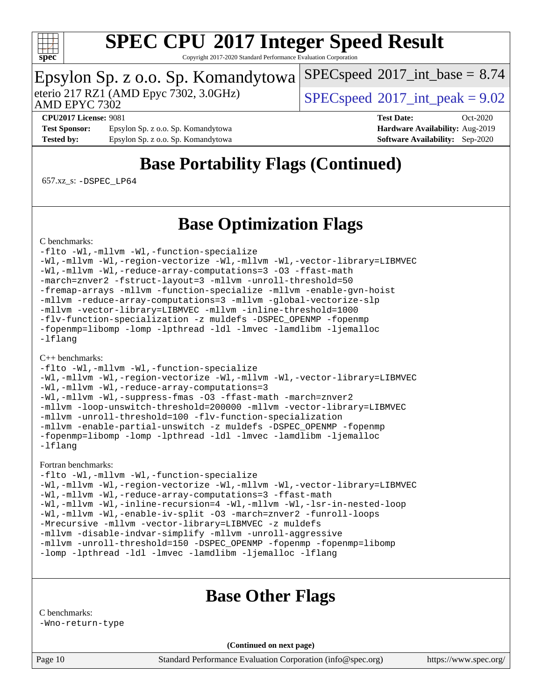

Copyright 2017-2020 Standard Performance Evaluation Corporation

# Epsylon Sp. z o.o. Sp. Komandytowa<br>eterio 217 RZ1 (AMD Epyc 7302, 3.0GHz)

 $SPECspeed@2017<sub>int</sub> peak = 9.02$  $SPECspeed@2017<sub>int</sub> peak = 9.02$ 

 $SPECspeed^{\circ}2017\_int\_base = 8.74$  $SPECspeed^{\circ}2017\_int\_base = 8.74$ 

AMD EPYC 7302

**[Test Sponsor:](http://www.spec.org/auto/cpu2017/Docs/result-fields.html#TestSponsor)** Epsylon Sp. z o.o. Sp. Komandytowa **[Hardware Availability:](http://www.spec.org/auto/cpu2017/Docs/result-fields.html#HardwareAvailability)** Aug-2019 **[Tested by:](http://www.spec.org/auto/cpu2017/Docs/result-fields.html#Testedby)** Epsylon Sp. z o.o. Sp. Komandytowa **[Software Availability:](http://www.spec.org/auto/cpu2017/Docs/result-fields.html#SoftwareAvailability)** Sep-2020

**[CPU2017 License:](http://www.spec.org/auto/cpu2017/Docs/result-fields.html#CPU2017License)** 9081 **[Test Date:](http://www.spec.org/auto/cpu2017/Docs/result-fields.html#TestDate)** Oct-2020

### **[Base Portability Flags \(Continued\)](http://www.spec.org/auto/cpu2017/Docs/result-fields.html#BasePortabilityFlags)**

657.xz\_s: [-DSPEC\\_LP64](http://www.spec.org/cpu2017/results/res2020q4/cpu2017-20201026-24259.flags.html#suite_baseEXTRA_PORTABILITY657_xz_s_DSPEC_LP64)

### **[Base Optimization Flags](http://www.spec.org/auto/cpu2017/Docs/result-fields.html#BaseOptimizationFlags)**

[C benchmarks](http://www.spec.org/auto/cpu2017/Docs/result-fields.html#Cbenchmarks):

[-flto](http://www.spec.org/cpu2017/results/res2020q4/cpu2017-20201026-24259.flags.html#user_CCbase_aocc-flto) [-Wl,-mllvm -Wl,-function-specialize](http://www.spec.org/cpu2017/results/res2020q4/cpu2017-20201026-24259.flags.html#user_CCbase_F-function-specialize_7e7e661e57922243ee67c9a1251cb8910e607325179a0ce7f2884e09a6f5d4a5ef0ae4f37e8a2a11c95fc48e931f06dc2b6016f14b511fcb441e048bef1b065a) [-Wl,-mllvm -Wl,-region-vectorize](http://www.spec.org/cpu2017/results/res2020q4/cpu2017-20201026-24259.flags.html#user_CCbase_F-region-vectorize_fb6c6b5aa293c88efc6c7c2b52b20755e943585b1fe8658c35afef78727fff56e1a56891413c30e36b8e2a6f9a71126986319243e80eb6110b78b288f533c52b) [-Wl,-mllvm -Wl,-vector-library=LIBMVEC](http://www.spec.org/cpu2017/results/res2020q4/cpu2017-20201026-24259.flags.html#user_CCbase_F-use-vector-library_0a14b27fae317f283640384a31f7bfcc2bd4c1d0b5cfc618a3a430800c9b20217b00f61303eff223a3251b4f06ffbc9739dc5296db9d1fbb9ad24a3939d86d66) [-Wl,-mllvm -Wl,-reduce-array-computations=3](http://www.spec.org/cpu2017/results/res2020q4/cpu2017-20201026-24259.flags.html#user_CCbase_F-reduce-array-computations_b882aefe7a5dda4e33149f6299762b9a720dace3e498e13756f4c04e5a19edf5315c1f3993de2e61ec41e8c206231f84e05da7040e1bb5d69ba27d10a12507e4) [-O3](http://www.spec.org/cpu2017/results/res2020q4/cpu2017-20201026-24259.flags.html#user_CCbase_F-O3) [-ffast-math](http://www.spec.org/cpu2017/results/res2020q4/cpu2017-20201026-24259.flags.html#user_CCbase_aocc-ffast-math) [-march=znver2](http://www.spec.org/cpu2017/results/res2020q4/cpu2017-20201026-24259.flags.html#user_CCbase_aocc-march_3e2e19cff2eeef60c5d90b059483627c9ea47eca6d66670dbd53f9185f6439e27eb5e104cf773e9e8ab18c8842ce63e461a3e948d0214bd567ef3ade411bf467) [-fstruct-layout=3](http://www.spec.org/cpu2017/results/res2020q4/cpu2017-20201026-24259.flags.html#user_CCbase_F-struct-layout) [-mllvm -unroll-threshold=50](http://www.spec.org/cpu2017/results/res2020q4/cpu2017-20201026-24259.flags.html#user_CCbase_F-unroll-threshold_458874500b2c105d6d5cb4d7a611c40e2b16e9e3d26b355fea72d644c3673b4de4b3932662f0ed3dbec75c491a13da2d2ca81180bd779dc531083ef1e1e549dc) [-fremap-arrays](http://www.spec.org/cpu2017/results/res2020q4/cpu2017-20201026-24259.flags.html#user_CCbase_F-fremap-arrays) [-mllvm -function-specialize](http://www.spec.org/cpu2017/results/res2020q4/cpu2017-20201026-24259.flags.html#user_CCbase_F-function-specialize_233b3bdba86027f1b094368157e481c5bc59f40286dc25bfadc1858dcd5745c24fd30d5f188710db7fea399bcc9f44a80b3ce3aacc70a8870250c3ae5e1f35b8) [-mllvm -enable-gvn-hoist](http://www.spec.org/cpu2017/results/res2020q4/cpu2017-20201026-24259.flags.html#user_CCbase_F-enable-gvn-hoist_e5856354646dd6ca1333a0ad99b817e4cf8932b91b82809fd8fd47ceff7b22a89eba5c98fd3e3fa5200368fd772cec3dd56abc3c8f7b655a71b9f9848dddedd5) [-mllvm -reduce-array-computations=3](http://www.spec.org/cpu2017/results/res2020q4/cpu2017-20201026-24259.flags.html#user_CCbase_F-reduce-array-computations_aceadb8604558b566e0e3a0d7a3c1533923dd1fa0889614e16288028922629a28d5695c24d3b3be4306b1e311c54317dfffe3a2e57fbcaabc737a1798de39145) [-mllvm -global-vectorize-slp](http://www.spec.org/cpu2017/results/res2020q4/cpu2017-20201026-24259.flags.html#user_CCbase_F-global-vectorize-slp_a3935e8627af4ced727033b1ffd4db27f4d541a363d28d82bf4c2925fb3a0fd4115d6e42d13a2829f9e024d6608eb67a85cb49770f2da5c5ac8dbc737afad603) [-mllvm -vector-library=LIBMVEC](http://www.spec.org/cpu2017/results/res2020q4/cpu2017-20201026-24259.flags.html#user_CCbase_F-use-vector-library_e584e20b4f7ec96aa109254b65d8e01d864f3d68580371b9d93ed7c338191d4cfce20c3c864632264effc6bbe4c7c38153d02096a342ee92501c4a53204a7871) [-mllvm -inline-threshold=1000](http://www.spec.org/cpu2017/results/res2020q4/cpu2017-20201026-24259.flags.html#user_CCbase_dragonegg-llvm-inline-threshold_b7832241b0a6397e4ecdbaf0eb7defdc10f885c2a282fa3240fdc99844d543fda39cf8a4a9dccf68cf19b5438ac3b455264f478df15da0f4988afa40d8243bab) [-flv-function-specialization](http://www.spec.org/cpu2017/results/res2020q4/cpu2017-20201026-24259.flags.html#user_CCbase_F-flv-function-specialization) [-z muldefs](http://www.spec.org/cpu2017/results/res2020q4/cpu2017-20201026-24259.flags.html#user_CCbase_aocc-muldefs) [-DSPEC\\_OPENMP](http://www.spec.org/cpu2017/results/res2020q4/cpu2017-20201026-24259.flags.html#suite_CCbase_DSPEC_OPENMP) [-fopenmp](http://www.spec.org/cpu2017/results/res2020q4/cpu2017-20201026-24259.flags.html#user_CCbase_aocc-fopenmp) [-fopenmp=libomp](http://www.spec.org/cpu2017/results/res2020q4/cpu2017-20201026-24259.flags.html#user_CCbase_aocc-fopenmp_3eb6ab80166bcc84161ff8c20c8d5bc344f88119f45620444596454f7d72e99b7a0ceefc2d1b4d190bd07306bbfdfc20f11f5a2dc69c9b03c72239f8406741c3) [-lomp](http://www.spec.org/cpu2017/results/res2020q4/cpu2017-20201026-24259.flags.html#user_CCbase_F-lomp) [-lpthread](http://www.spec.org/cpu2017/results/res2020q4/cpu2017-20201026-24259.flags.html#user_CCbase_F-lpthread) [-ldl](http://www.spec.org/cpu2017/results/res2020q4/cpu2017-20201026-24259.flags.html#user_CCbase_F-ldl) [-lmvec](http://www.spec.org/cpu2017/results/res2020q4/cpu2017-20201026-24259.flags.html#user_CCbase_F-lmvec) [-lamdlibm](http://www.spec.org/cpu2017/results/res2020q4/cpu2017-20201026-24259.flags.html#user_CCbase_F-lamdlibm) [-ljemalloc](http://www.spec.org/cpu2017/results/res2020q4/cpu2017-20201026-24259.flags.html#user_CCbase_jemalloc-lib) [-lflang](http://www.spec.org/cpu2017/results/res2020q4/cpu2017-20201026-24259.flags.html#user_CCbase_F-lflang)

[C++ benchmarks:](http://www.spec.org/auto/cpu2017/Docs/result-fields.html#CXXbenchmarks)

```
-flto -Wl,-mllvm -Wl,-function-specialize
-Wl,-mllvm -Wl,-region-vectorize -Wl,-mllvm -Wl,-vector-library=LIBMVEC
-Wl,-mllvm -Wl,-reduce-array-computations=3
-Wl,-mllvm -Wl,-suppress-fmas -O3 -ffast-math -march=znver2
-mllvm -loop-unswitch-threshold=200000 -mllvm -vector-library=LIBMVEC
-mllvm -unroll-threshold=100 -flv-function-specialization
-mllvm -enable-partial-unswitch -z muldefs -DSPEC_OPENMP -fopenmp
-fopenmp=libomp -lomp -lpthread -ldl -lmvec -lamdlibm -ljemalloc
-lflang
```
#### [Fortran benchmarks](http://www.spec.org/auto/cpu2017/Docs/result-fields.html#Fortranbenchmarks):

```
-flto -Wl,-mllvm -Wl,-function-specialize
-Wl,-mllvm -Wl,-region-vectorize -Wl,-mllvm -Wl,-vector-library=LIBMVEC
-Wl,-mllvm -Wl,-reduce-array-computations=3 -ffast-math
-Wl,-mllvm -Wl,-inline-recursion=4 -Wl,-mllvm -Wl,-lsr-in-nested-loop
-Wl,-mllvm -Wl,-enable-iv-split -O3 -march=znver2 -funroll-loops
-Mrecursive -mllvm -vector-library=LIBMVEC -z muldefs
-mllvm -disable-indvar-simplify -mllvm -unroll-aggressive
-mllvm -unroll-threshold=150 -DSPEC_OPENMP -fopenmp -fopenmp=libomp
-lomp -lpthread -ldl -lmvec -lamdlibm -ljemalloc -lflang
```
### **[Base Other Flags](http://www.spec.org/auto/cpu2017/Docs/result-fields.html#BaseOtherFlags)**

[C benchmarks:](http://www.spec.org/auto/cpu2017/Docs/result-fields.html#Cbenchmarks) [-Wno-return-type](http://www.spec.org/cpu2017/results/res2020q4/cpu2017-20201026-24259.flags.html#user_CCbase_F-Waocc-no-return-type)

**(Continued on next page)**

Page 10 Standard Performance Evaluation Corporation [\(info@spec.org\)](mailto:info@spec.org) <https://www.spec.org/>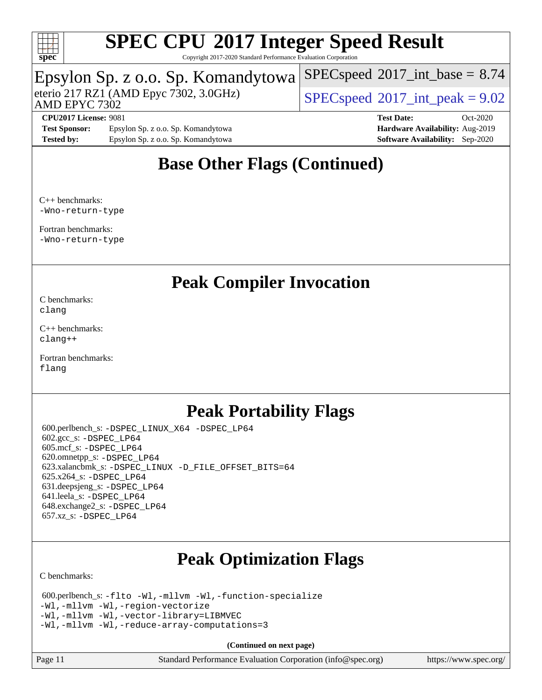

Copyright 2017-2020 Standard Performance Evaluation Corporation

## Epsylon Sp. z o.o. Sp. Komandytowa

eterio 217 RZ1 (AMD Epyc 7302, 3.0GHz)  $\text{SPEC speed} \textcircled{}2017\text{ int peak} = 9.02$ 

 $SPECspeed^{\circ}2017\_int\_base = 8.74$  $SPECspeed^{\circ}2017\_int\_base = 8.74$ 

AMD EPYC 7302

**[CPU2017 License:](http://www.spec.org/auto/cpu2017/Docs/result-fields.html#CPU2017License)** 9081 **[Test Date:](http://www.spec.org/auto/cpu2017/Docs/result-fields.html#TestDate)** Oct-2020 [Test Sponsor:](http://www.spec.org/auto/cpu2017/Docs/result-fields.html#TestSponsor) Epsylon Sp. z o.o. Sp. Komandytowa **[Hardware Availability:](http://www.spec.org/auto/cpu2017/Docs/result-fields.html#HardwareAvailability)** Aug-2019 **[Tested by:](http://www.spec.org/auto/cpu2017/Docs/result-fields.html#Testedby)** Epsylon Sp. z o.o. Sp. Komandytowa **[Software Availability:](http://www.spec.org/auto/cpu2017/Docs/result-fields.html#SoftwareAvailability)** Sep-2020

### **[Base Other Flags \(Continued\)](http://www.spec.org/auto/cpu2017/Docs/result-fields.html#BaseOtherFlags)**

[C++ benchmarks](http://www.spec.org/auto/cpu2017/Docs/result-fields.html#CXXbenchmarks): [-Wno-return-type](http://www.spec.org/cpu2017/results/res2020q4/cpu2017-20201026-24259.flags.html#user_CXXbase_F-Waocc-no-return-type)

[Fortran benchmarks:](http://www.spec.org/auto/cpu2017/Docs/result-fields.html#Fortranbenchmarks) [-Wno-return-type](http://www.spec.org/cpu2017/results/res2020q4/cpu2017-20201026-24259.flags.html#user_FCbase_F-Waocc-no-return-type)

### **[Peak Compiler Invocation](http://www.spec.org/auto/cpu2017/Docs/result-fields.html#PeakCompilerInvocation)**

[C benchmarks](http://www.spec.org/auto/cpu2017/Docs/result-fields.html#Cbenchmarks): [clang](http://www.spec.org/cpu2017/results/res2020q4/cpu2017-20201026-24259.flags.html#user_CCpeak_clang-c)

[C++ benchmarks:](http://www.spec.org/auto/cpu2017/Docs/result-fields.html#CXXbenchmarks) [clang++](http://www.spec.org/cpu2017/results/res2020q4/cpu2017-20201026-24259.flags.html#user_CXXpeak_clang-cpp)

[Fortran benchmarks](http://www.spec.org/auto/cpu2017/Docs/result-fields.html#Fortranbenchmarks): [flang](http://www.spec.org/cpu2017/results/res2020q4/cpu2017-20201026-24259.flags.html#user_FCpeak_flang)

### **[Peak Portability Flags](http://www.spec.org/auto/cpu2017/Docs/result-fields.html#PeakPortabilityFlags)**

 600.perlbench\_s: [-DSPEC\\_LINUX\\_X64](http://www.spec.org/cpu2017/results/res2020q4/cpu2017-20201026-24259.flags.html#b600.perlbench_s_peakPORTABILITY_DSPEC_LINUX_X64) [-DSPEC\\_LP64](http://www.spec.org/cpu2017/results/res2020q4/cpu2017-20201026-24259.flags.html#b600.perlbench_s_peakEXTRA_PORTABILITY_DSPEC_LP64) 602.gcc\_s: [-DSPEC\\_LP64](http://www.spec.org/cpu2017/results/res2020q4/cpu2017-20201026-24259.flags.html#suite_peakEXTRA_PORTABILITY602_gcc_s_DSPEC_LP64) 605.mcf\_s: [-DSPEC\\_LP64](http://www.spec.org/cpu2017/results/res2020q4/cpu2017-20201026-24259.flags.html#suite_peakEXTRA_PORTABILITY605_mcf_s_DSPEC_LP64) 620.omnetpp\_s: [-DSPEC\\_LP64](http://www.spec.org/cpu2017/results/res2020q4/cpu2017-20201026-24259.flags.html#suite_peakEXTRA_PORTABILITY620_omnetpp_s_DSPEC_LP64) 623.xalancbmk\_s: [-DSPEC\\_LINUX](http://www.spec.org/cpu2017/results/res2020q4/cpu2017-20201026-24259.flags.html#b623.xalancbmk_s_peakPORTABILITY_DSPEC_LINUX) [-D\\_FILE\\_OFFSET\\_BITS=64](http://www.spec.org/cpu2017/results/res2020q4/cpu2017-20201026-24259.flags.html#user_peakEXTRA_PORTABILITY623_xalancbmk_s_F-D_FILE_OFFSET_BITS_5ae949a99b284ddf4e95728d47cb0843d81b2eb0e18bdfe74bbf0f61d0b064f4bda2f10ea5eb90e1dcab0e84dbc592acfc5018bc955c18609f94ddb8d550002c) 625.x264\_s: [-DSPEC\\_LP64](http://www.spec.org/cpu2017/results/res2020q4/cpu2017-20201026-24259.flags.html#suite_peakEXTRA_PORTABILITY625_x264_s_DSPEC_LP64) 631.deepsjeng\_s: [-DSPEC\\_LP64](http://www.spec.org/cpu2017/results/res2020q4/cpu2017-20201026-24259.flags.html#suite_peakEXTRA_PORTABILITY631_deepsjeng_s_DSPEC_LP64) 641.leela\_s: [-DSPEC\\_LP64](http://www.spec.org/cpu2017/results/res2020q4/cpu2017-20201026-24259.flags.html#suite_peakEXTRA_PORTABILITY641_leela_s_DSPEC_LP64) 648.exchange2\_s: [-DSPEC\\_LP64](http://www.spec.org/cpu2017/results/res2020q4/cpu2017-20201026-24259.flags.html#suite_peakEXTRA_PORTABILITY648_exchange2_s_DSPEC_LP64) 657.xz\_s: [-DSPEC\\_LP64](http://www.spec.org/cpu2017/results/res2020q4/cpu2017-20201026-24259.flags.html#suite_peakEXTRA_PORTABILITY657_xz_s_DSPEC_LP64)

## **[Peak Optimization Flags](http://www.spec.org/auto/cpu2017/Docs/result-fields.html#PeakOptimizationFlags)**

[C benchmarks](http://www.spec.org/auto/cpu2017/Docs/result-fields.html#Cbenchmarks):

 600.perlbench\_s: [-flto](http://www.spec.org/cpu2017/results/res2020q4/cpu2017-20201026-24259.flags.html#user_peakCOPTIMIZELDFLAGS600_perlbench_s_aocc-flto) [-Wl,-mllvm -Wl,-function-specialize](http://www.spec.org/cpu2017/results/res2020q4/cpu2017-20201026-24259.flags.html#user_peakLDFLAGS600_perlbench_s_F-function-specialize_7e7e661e57922243ee67c9a1251cb8910e607325179a0ce7f2884e09a6f5d4a5ef0ae4f37e8a2a11c95fc48e931f06dc2b6016f14b511fcb441e048bef1b065a) [-Wl,-mllvm -Wl,-region-vectorize](http://www.spec.org/cpu2017/results/res2020q4/cpu2017-20201026-24259.flags.html#user_peakLDFLAGS600_perlbench_s_F-region-vectorize_fb6c6b5aa293c88efc6c7c2b52b20755e943585b1fe8658c35afef78727fff56e1a56891413c30e36b8e2a6f9a71126986319243e80eb6110b78b288f533c52b) [-Wl,-mllvm -Wl,-vector-library=LIBMVEC](http://www.spec.org/cpu2017/results/res2020q4/cpu2017-20201026-24259.flags.html#user_peakLDFLAGS600_perlbench_s_F-use-vector-library_0a14b27fae317f283640384a31f7bfcc2bd4c1d0b5cfc618a3a430800c9b20217b00f61303eff223a3251b4f06ffbc9739dc5296db9d1fbb9ad24a3939d86d66) [-Wl,-mllvm -Wl,-reduce-array-computations=3](http://www.spec.org/cpu2017/results/res2020q4/cpu2017-20201026-24259.flags.html#user_peakLDFLAGS600_perlbench_s_F-reduce-array-computations_b882aefe7a5dda4e33149f6299762b9a720dace3e498e13756f4c04e5a19edf5315c1f3993de2e61ec41e8c206231f84e05da7040e1bb5d69ba27d10a12507e4)

**(Continued on next page)**

Page 11 Standard Performance Evaluation Corporation [\(info@spec.org\)](mailto:info@spec.org) <https://www.spec.org/>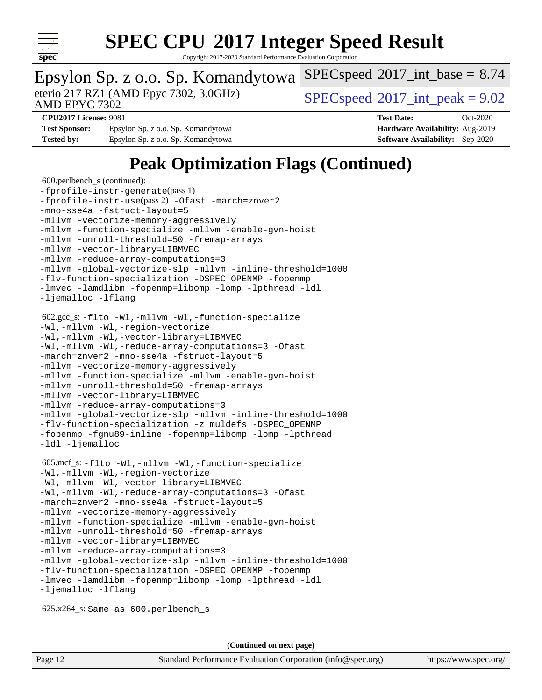

Copyright 2017-2020 Standard Performance Evaluation Corporation

### Epsylon Sp. z o.o. Sp. Komandytowa

AMD EPYC 7302

eterio 217 RZ1 (AMD Epyc 7302, 3.0GHz)  $\text{SPEC speed} \textcircled{}2017\text{ int peak} = 9.02$ 

 $SPECspeed^{\circ}2017\_int\_base = 8.74$  $SPECspeed^{\circ}2017\_int\_base = 8.74$ 

**[Test Sponsor:](http://www.spec.org/auto/cpu2017/Docs/result-fields.html#TestSponsor)** Epsylon Sp. z o.o. Sp. Komandytowa **[Hardware Availability:](http://www.spec.org/auto/cpu2017/Docs/result-fields.html#HardwareAvailability)** Aug-2019 **[Tested by:](http://www.spec.org/auto/cpu2017/Docs/result-fields.html#Testedby)** Epsylon Sp. z o.o. Sp. Komandytowa **[Software Availability:](http://www.spec.org/auto/cpu2017/Docs/result-fields.html#SoftwareAvailability)** Sep-2020

**[CPU2017 License:](http://www.spec.org/auto/cpu2017/Docs/result-fields.html#CPU2017License)** 9081 **[Test Date:](http://www.spec.org/auto/cpu2017/Docs/result-fields.html#TestDate)** Oct-2020

## **[Peak Optimization Flags \(Continued\)](http://www.spec.org/auto/cpu2017/Docs/result-fields.html#PeakOptimizationFlags)**

```
 600.perlbench_s (continued):
-fprofile-instr-generate(pass 1)
-fprofile-instr-use(pass 2) -Ofast -march=znver2
-mno-sse4a -fstruct-layout=5
-mllvm -vectorize-memory-aggressively
-mllvm -function-specialize -mllvm -enable-gvn-hoist
-mllvm -unroll-threshold=50 -fremap-arrays
-mllvm -vector-library=LIBMVEC
-mllvm -reduce-array-computations=3
-mllvm -global-vectorize-slp -mllvm -inline-threshold=1000
-flv-function-specialization -DSPEC_OPENMP -fopenmp
-lmvec -lamdlibm -fopenmp=libomp -lomp -lpthread -ldl
-ljemalloc -lflang
 602.gcc_s: -flto -Wl,-mllvm -Wl,-function-specialize
-Wl,-mllvm -Wl,-region-vectorize
-Wl,-mllvm -Wl,-vector-library=LIBMVEC
-Wl,-mllvm -Wl,-reduce-array-computations=3 -Ofast
-march=znver2 -mno-sse4a -fstruct-layout=5
-mllvm -vectorize-memory-aggressively
-mllvm -function-specialize -mllvm -enable-gvn-hoist
-mllvm -unroll-threshold=50 -fremap-arrays
-mllvm -vector-library=LIBMVEC
-mllvm -reduce-array-computations=3
-mllvm -global-vectorize-slp -mllvm -inline-threshold=1000
-flv-function-specialization -z muldefs -DSPEC_OPENMP
-fopenmp -fgnu89-inline -fopenmp=libomp -lomp -lpthread
-ldl -ljemalloc
 605.mcf_s: -flto -Wl,-mllvm -Wl,-function-specialize
-Wl,-mllvm -Wl,-region-vectorize
-Wl,-mllvm -Wl,-vector-library=LIBMVEC
-Wl,-mllvm -Wl,-reduce-array-computations=3 -Ofast
-march=znver2 -mno-sse4a -fstruct-layout=5
-mllvm -vectorize-memory-aggressively
-mllvm -function-specialize -mllvm -enable-gvn-hoist
-mllvm -unroll-threshold=50 -fremap-arrays
-mllvm -vector-library=LIBMVEC
-mllvm -reduce-array-computations=3
-mllvm -global-vectorize-slp -mllvm -inline-threshold=1000
-flv-function-specialization -DSPEC_OPENMP -fopenmp
-lmvec -lamdlibm -fopenmp=libomp -lomp -lpthread -ldl
-ljemalloc -lflang
 625.x264_s: Same as 600.perlbench_s
```
**(Continued on next page)**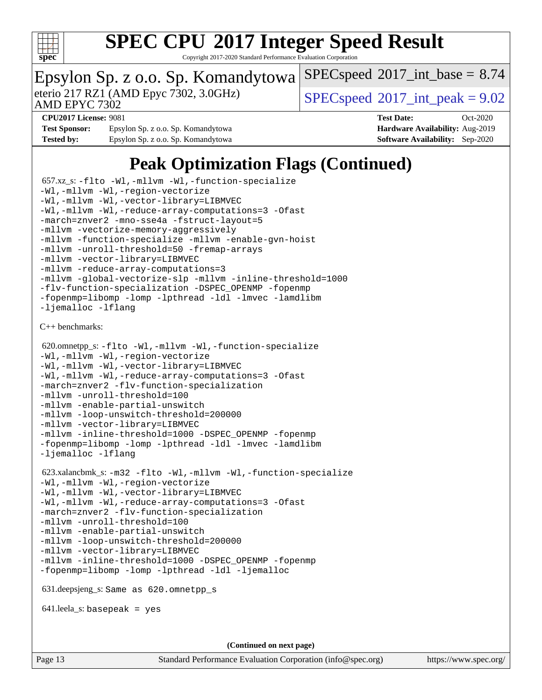

Copyright 2017-2020 Standard Performance Evaluation Corporation

### Epsylon Sp. z o.o. Sp. Komandytowa

AMD EPYC 7302

eterio 217 RZ1 (AMD Epyc 7302, 3.0GHz)  $\text{SPEC speed} \textcircled{}2017\text{ int peak} = 9.02$ 

 $SPECspeed^{\circ}2017\_int\_base = 8.74$  $SPECspeed^{\circ}2017\_int\_base = 8.74$ 

**[Test Sponsor:](http://www.spec.org/auto/cpu2017/Docs/result-fields.html#TestSponsor)** Epsylon Sp. z o.o. Sp. Komandytowa **[Hardware Availability:](http://www.spec.org/auto/cpu2017/Docs/result-fields.html#HardwareAvailability)** Aug-2019 **[Tested by:](http://www.spec.org/auto/cpu2017/Docs/result-fields.html#Testedby)** Epsylon Sp. z o.o. Sp. Komandytowa **[Software Availability:](http://www.spec.org/auto/cpu2017/Docs/result-fields.html#SoftwareAvailability)** Sep-2020

**[CPU2017 License:](http://www.spec.org/auto/cpu2017/Docs/result-fields.html#CPU2017License)** 9081 **[Test Date:](http://www.spec.org/auto/cpu2017/Docs/result-fields.html#TestDate)** Oct-2020

### **[Peak Optimization Flags \(Continued\)](http://www.spec.org/auto/cpu2017/Docs/result-fields.html#PeakOptimizationFlags)**

```
 657.xz_s: -flto -Wl,-mllvm -Wl,-function-specialize
-Wl,-mllvm -Wl,-region-vectorize
-Wl,-mllvm -Wl,-vector-library=LIBMVEC
-Wl,-mllvm -Wl,-reduce-array-computations=3 -Ofast
-march=znver2 -mno-sse4a -fstruct-layout=5
-mllvm -vectorize-memory-aggressively
-mllvm -function-specialize -mllvm -enable-gvn-hoist
-mllvm -unroll-threshold=50 -fremap-arrays
-mllvm -vector-library=LIBMVEC
-mllvm -reduce-array-computations=3
-mllvm -global-vectorize-slp -mllvm -inline-threshold=1000
-flv-function-specialization -DSPEC_OPENMP -fopenmp
-fopenmp=libomp -lomp -lpthread -ldl -lmvec -lamdlibm
-ljemalloc -lflang
C++ benchmarks: 
 620.omnetpp_s: -flto -Wl,-mllvm -Wl,-function-specialize
-Wl,-mllvm -Wl,-region-vectorize
-Wl,-mllvm -Wl,-vector-library=LIBMVEC
-Wl,-mllvm -Wl,-reduce-array-computations=3 -Ofast
-march=znver2 -flv-function-specialization
-mllvm -unroll-threshold=100
-mllvm -enable-partial-unswitch
-mllvm -loop-unswitch-threshold=200000
-mllvm -vector-library=LIBMVEC
-mllvm -inline-threshold=1000 -DSPEC_OPENMP -fopenmp
-fopenmp=libomp -lomp -lpthread -ldl -lmvec -lamdlibm
-ljemalloc -lflang
 623.xalancbmk_s: -m32 -flto -Wl,-mllvm -Wl,-function-specialize
-Wl,-mllvm -Wl,-region-vectorize
-Wl,-mllvm -Wl,-vector-library=LIBMVEC
-Wl,-mllvm -Wl,-reduce-array-computations=3 -Ofast
-march=znver2 -flv-function-specialization
-mllvm -unroll-threshold=100
-mllvm -enable-partial-unswitch
-mllvm -loop-unswitch-threshold=200000
-mllvm -vector-library=LIBMVEC
-mllvm -inline-threshold=1000 -DSPEC_OPENMP -fopenmp
-fopenmp=libomp -lomp -lpthread -ldl -ljemalloc
 631.deepsjeng_s: Same as 620.omnetpp_s
 641.leela_s: basepeak = yes
                                    (Continued on next page)
```